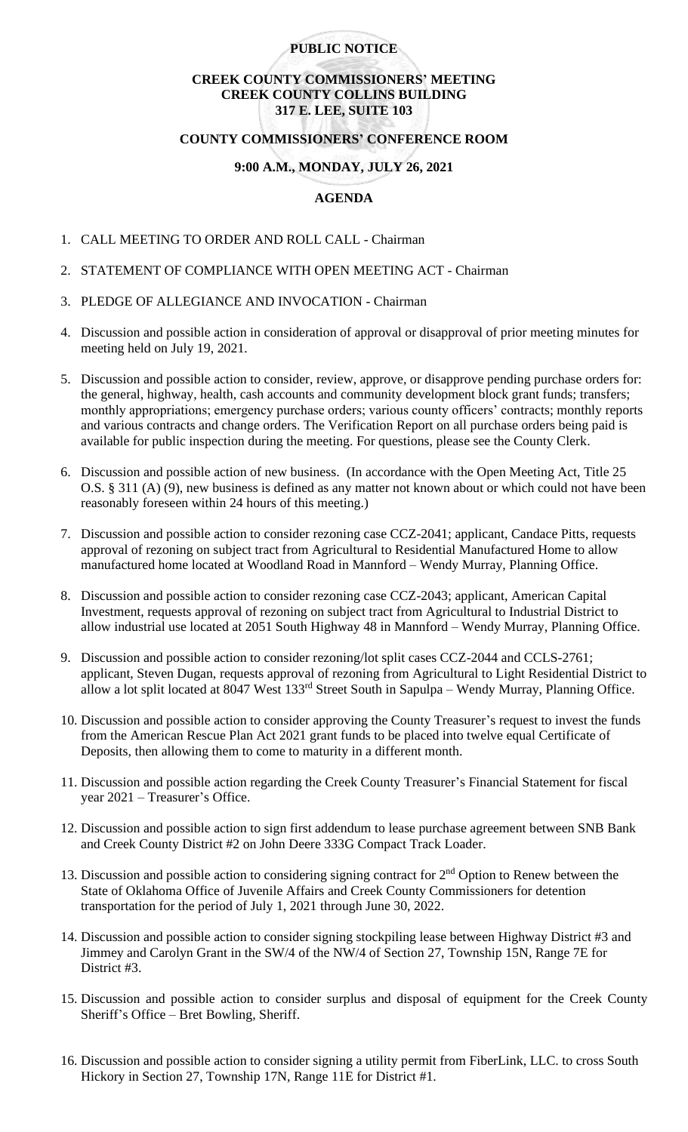# **PUBLIC NOTICE**

# **CREEK COUNTY COMMISSIONERS' MEETING CREEK COUNTY COLLINS BUILDING 317 E. LEE, SUITE 103**

## **COUNTY COMMISSIONERS' CONFERENCE ROOM**

## **9:00 A.M., MONDAY, JULY 26, 2021**

## **AGENDA**

- 1. CALL MEETING TO ORDER AND ROLL CALL Chairman
- 2. STATEMENT OF COMPLIANCE WITH OPEN MEETING ACT Chairman
- 3. PLEDGE OF ALLEGIANCE AND INVOCATION Chairman
- 4. Discussion and possible action in consideration of approval or disapproval of prior meeting minutes for meeting held on July 19, 2021.
- 5. Discussion and possible action to consider, review, approve, or disapprove pending purchase orders for: the general, highway, health, cash accounts and community development block grant funds; transfers; monthly appropriations; emergency purchase orders; various county officers' contracts; monthly reports and various contracts and change orders. The Verification Report on all purchase orders being paid is available for public inspection during the meeting. For questions, please see the County Clerk.
- 6. Discussion and possible action of new business. (In accordance with the Open Meeting Act, Title 25 O.S. § 311 (A) (9), new business is defined as any matter not known about or which could not have been reasonably foreseen within 24 hours of this meeting.)
- 7. Discussion and possible action to consider rezoning case CCZ-2041; applicant, Candace Pitts, requests approval of rezoning on subject tract from Agricultural to Residential Manufactured Home to allow manufactured home located at Woodland Road in Mannford – Wendy Murray, Planning Office.
- 8. Discussion and possible action to consider rezoning case CCZ-2043; applicant, American Capital Investment, requests approval of rezoning on subject tract from Agricultural to Industrial District to allow industrial use located at 2051 South Highway 48 in Mannford – Wendy Murray, Planning Office.
- 9. Discussion and possible action to consider rezoning/lot split cases CCZ-2044 and CCLS-2761; applicant, Steven Dugan, requests approval of rezoning from Agricultural to Light Residential District to allow a lot split located at 8047 West 133rd Street South in Sapulpa – Wendy Murray, Planning Office.
- 10. Discussion and possible action to consider approving the County Treasurer's request to invest the funds from the American Rescue Plan Act 2021 grant funds to be placed into twelve equal Certificate of Deposits, then allowing them to come to maturity in a different month.
- 11. Discussion and possible action regarding the Creek County Treasurer's Financial Statement for fiscal year 2021 – Treasurer's Office.
- 12. Discussion and possible action to sign first addendum to lease purchase agreement between SNB Bank and Creek County District #2 on John Deere 333G Compact Track Loader.
- 13. Discussion and possible action to considering signing contract for  $2<sup>nd</sup>$  Option to Renew between the State of Oklahoma Office of Juvenile Affairs and Creek County Commissioners for detention transportation for the period of July 1, 2021 through June 30, 2022.
- 14. Discussion and possible action to consider signing stockpiling lease between Highway District #3 and Jimmey and Carolyn Grant in the SW/4 of the NW/4 of Section 27, Township 15N, Range 7E for District #3.
- 15. Discussion and possible action to consider surplus and disposal of equipment for the Creek County Sheriff's Office – Bret Bowling, Sheriff.
- 16. Discussion and possible action to consider signing a utility permit from FiberLink, LLC. to cross South Hickory in Section 27, Township 17N, Range 11E for District #1.